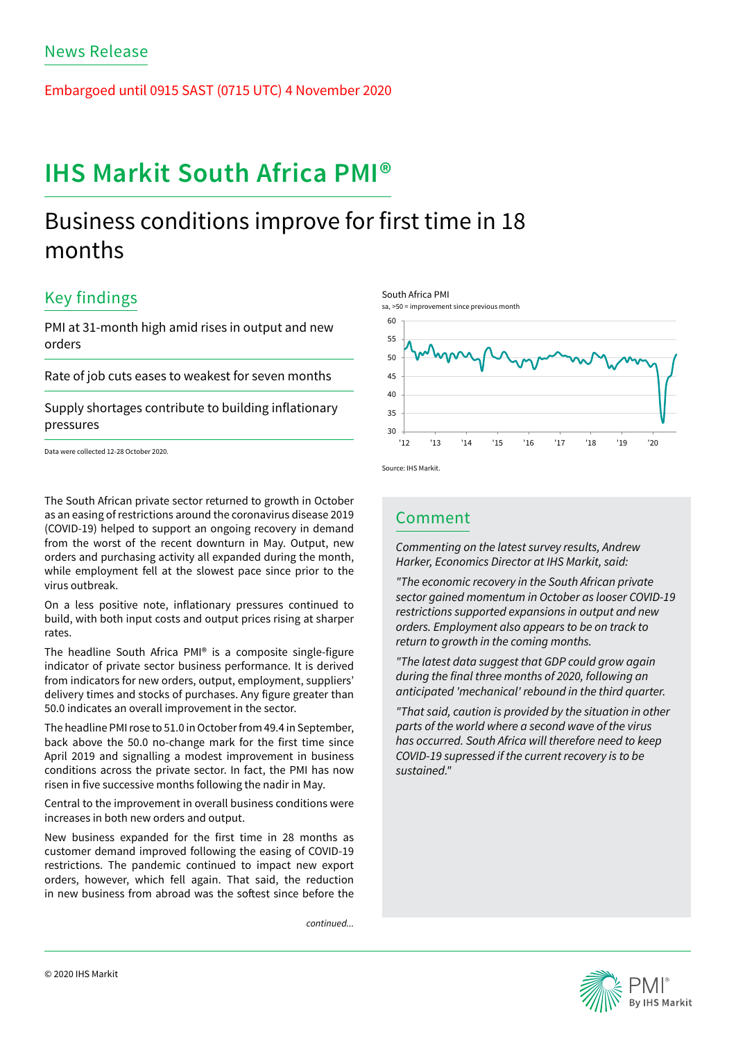Embargoed until 0915 SAST (0715 UTC) 4 November 2020

# **IHS Markit South Africa PMI®**

## Business conditions improve for first time in 18 months

### Key findings

PMI at 31-month high amid rises in output and new orders

Rate of job cuts eases to weakest for seven months

Supply shortages contribute to building inflationary pressures

Data were collected 12-28 October 2020.

The South African private sector returned to growth in October as an easing of restrictions around the coronavirus disease 2019 (COVID-19) helped to support an ongoing recovery in demand from the worst of the recent downturn in May. Output, new orders and purchasing activity all expanded during the month, while employment fell at the slowest pace since prior to the virus outbreak.

On a less positive note, inflationary pressures continued to build, with both input costs and output prices rising at sharper rates.

The headline South Africa PMI® is a composite single-figure indicator of private sector business performance. It is derived from indicators for new orders, output, employment, suppliers' delivery times and stocks of purchases. Any figure greater than 50.0 indicates an overall improvement in the sector.

The headline PMI rose to 51.0 in October from 49.4 in September, back above the 50.0 no-change mark for the first time since April 2019 and signalling a modest improvement in business conditions across the private sector. In fact, the PMI has now risen in five successive months following the nadir in May.

Central to the improvement in overall business conditions were increases in both new orders and output.

New business expanded for the first time in 28 months as customer demand improved following the easing of COVID-19 restrictions. The pandemic continued to impact new export orders, however, which fell again. That said, the reduction in new business from abroad was the softest since before the

*continued...*





Source: IHS Markit.

South Africa PMI

### Comment

*Commenting on the latest survey results, Andrew Harker, Economics Director at IHS Markit, said:* 

*"The economic recovery in the South African private sector gained momentum in October as looser COVID-19 restrictions supported expansions in output and new orders. Employment also appears to be on track to return to growth in the coming months.*

*"The latest data suggest that GDP could grow again*  during the final three months of 2020, following an *anticipated 'mechanical' rebound in the third quarter.*

*"That said, caution is provided by the situation in other parts of the world where a second wave of the virus has occurred. South Africa will therefore need to keep COVID-19 supressed if the current recovery is to be sustained."*